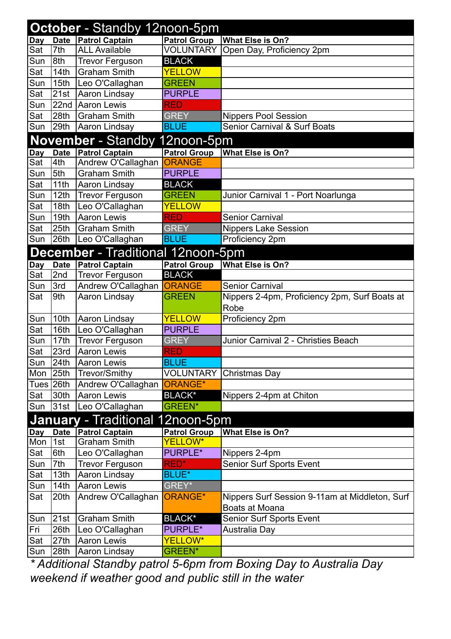|            | <b>October</b> - Standby 12noon-5pm |                                          |                     |                                                       |  |  |  |
|------------|-------------------------------------|------------------------------------------|---------------------|-------------------------------------------------------|--|--|--|
| <b>Day</b> | <b>Date</b>                         | <b>Patrol Captain</b>                    | <b>Patrol Group</b> | <b>What Else is On?</b>                               |  |  |  |
| Sat        | 7th                                 | <b>ALL Available</b>                     | <b>VOLUNTARY</b>    | Open Day, Proficiency 2pm                             |  |  |  |
| Sun        | 8th                                 | <b>Trevor Ferguson</b>                   | <b>BLACK</b>        |                                                       |  |  |  |
| Sat        | 14th                                | <b>Graham Smith</b>                      | <b>YELLOW</b>       |                                                       |  |  |  |
| Sun        | 15th                                | Leo O'Callaghan                          | <b>GREEN</b>        |                                                       |  |  |  |
| Sat        | 21st                                | Aaron Lindsay                            | <b>PURPLE</b>       |                                                       |  |  |  |
| Sun        | 22 <sub>nd</sub>                    | Aaron Lewis                              | <b>RED</b>          |                                                       |  |  |  |
| Sat        | 28th                                | <b>Graham Smith</b>                      | <b>GREY</b>         | <b>Nippers Pool Session</b>                           |  |  |  |
| Sun        | 29th                                | Aaron Lindsay                            | <b>BLUE</b>         | Senior Carnival & Surf Boats                          |  |  |  |
|            |                                     | <b>November</b> - Standby                | 12noon-5pm          |                                                       |  |  |  |
| Day        | <b>Date</b>                         | <b>Patrol Captain</b>                    | <b>Patrol Group</b> | <b>What Else is On?</b>                               |  |  |  |
| Sat        | 4th                                 | Andrew O'Callaghan                       | <b>ORANGE</b>       |                                                       |  |  |  |
| Sun        | 5th                                 | <b>Graham Smith</b>                      | <b>PURPLE</b>       |                                                       |  |  |  |
| Sat        | 11 <sub>th</sub>                    | Aaron Lindsay                            | <b>BLACK</b>        |                                                       |  |  |  |
| Sun        | 12th                                | <b>Trevor Ferguson</b>                   | <b>GREEN</b>        | Junior Carnival 1 - Port Noarlunga                    |  |  |  |
| Sat        | 18th                                | Leo O'Callaghan                          | <b>YELLOW</b>       |                                                       |  |  |  |
| Sun        | 19th                                | Aaron Lewis                              | <b>RED</b>          | <b>Senior Carnival</b>                                |  |  |  |
| Sat        | 25th                                | <b>Graham Smith</b>                      | <b>GREY</b>         | <b>Nippers Lake Session</b>                           |  |  |  |
| Sun        | 26th                                | Leo O'Callaghan                          | <b>BLUE</b>         | Proficiency 2pm                                       |  |  |  |
|            |                                     | <b>December</b> - Traditional 12noon-5pm |                     |                                                       |  |  |  |
| Day        | <b>Date</b>                         | <b>Patrol Captain</b>                    | <b>Patrol Group</b> | What Else is On?                                      |  |  |  |
| Sat        | 2nd                                 | <b>Trevor Ferguson</b>                   | <b>BLACK</b>        |                                                       |  |  |  |
| Sun        | 3rd                                 | Andrew O'Callaghan ORANGE                |                     | <b>Senior Carnival</b>                                |  |  |  |
| Sat        | 9th                                 | Aaron Lindsay                            | <b>GREEN</b>        | Nippers 2-4pm, Proficiency 2pm, Surf Boats at<br>Robe |  |  |  |
| Sun        | 10th                                | Aaron Lindsay                            | <b>YELLOW</b>       | Proficiency 2pm                                       |  |  |  |
| Sat        | 16th                                | Leo O'Callaghan                          | <b>PURPLE</b>       |                                                       |  |  |  |
| Sun        | 17th                                | <b>Trevor Ferguson</b>                   | <b>GREY</b>         | Junior Carnival 2 - Christies Beach                   |  |  |  |
| Sat        | 23rd                                | <b>Aaron Lewis</b>                       | <b>RED</b>          |                                                       |  |  |  |
| Sun        | 24th                                | Aaron Lewis                              | <b>BLUE</b>         |                                                       |  |  |  |
| Mon        | 25th                                | Trevor/Smithy                            | <b>VOLUNTARY</b>    | Christmas Day                                         |  |  |  |
|            | Tues $ 26th $                       | Andrew O'Callaghan                       | <b>ORANGE*</b>      |                                                       |  |  |  |
| Sat        | 30th                                | Aaron Lewis                              | <b>BLACK*</b>       | Nippers 2-4pm at Chiton                               |  |  |  |
| Sun        | 31st                                | Leo O'Callaghan                          | <b>GREEN*</b>       |                                                       |  |  |  |
|            |                                     | <b>January</b> - Traditional 12noon-5pm  |                     |                                                       |  |  |  |
| <b>Day</b> | <b>Date</b>                         | <b>Patrol Captain</b>                    | <b>Patrol Group</b> | What Else is On?                                      |  |  |  |
| Mon        | $\overline{1}$ st                   | <b>Graham Smith</b>                      | YELLOW*             |                                                       |  |  |  |
| Sat        | 6th                                 | Leo O'Callaghan                          | <b>PURPLE*</b>      | Nippers 2-4pm                                         |  |  |  |
| Sun        | 7th                                 | <b>Trevor Ferguson</b>                   | <b>RED*</b>         | <b>Senior Surf Sports Event</b>                       |  |  |  |
| Sat        | 13th                                | Aaron Lindsay                            | <b>BLUE*</b>        |                                                       |  |  |  |
| Sun        | 14th                                | Aaron Lewis                              | GREY*               |                                                       |  |  |  |
| Sat        | 20th                                | Andrew O'Callaghan                       | <b>ORANGE*</b>      | Nippers Surf Session 9-11am at Middleton, Surf        |  |  |  |
|            |                                     |                                          |                     | Boats at Moana                                        |  |  |  |
| Sun        | 21st                                | <b>Graham Smith</b>                      | <b>BLACK*</b>       | Senior Surf Sports Event                              |  |  |  |
| Fri        | 26th                                | Leo O'Callaghan                          | PURPLE*             | Australia Day                                         |  |  |  |
| Sat        | 27th                                | <b>Aaron Lewis</b>                       | YELLOW*             |                                                       |  |  |  |
| Sun        | 28th                                | Aaron Lindsay                            | <b>GREEN*</b>       |                                                       |  |  |  |

*\* Additional Standby patrol 5-6pm from Boxing Day to Australia Day weekend if weather good and public still in the water*